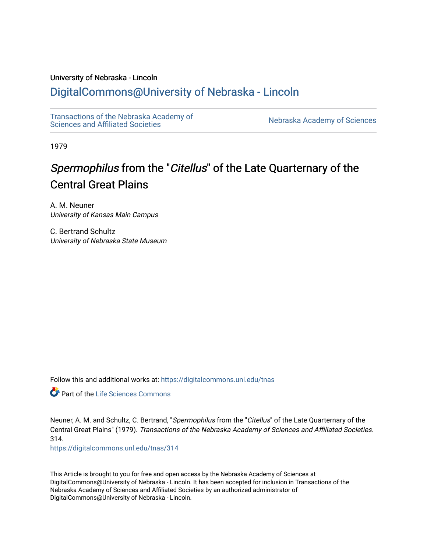# University of Nebraska - Lincoln

# [DigitalCommons@University of Nebraska - Lincoln](https://digitalcommons.unl.edu/)

[Transactions of the Nebraska Academy of](https://digitalcommons.unl.edu/tnas)  Transactions of the Nebraska Academy of Sciences<br>Sciences and Affiliated Societies

1979

# Spermophilus from the "Citellus" of the Late Quarternary of the Central Great Plains

A. M. Neuner University of Kansas Main Campus

C. Bertrand Schultz University of Nebraska State Museum

Follow this and additional works at: [https://digitalcommons.unl.edu/tnas](https://digitalcommons.unl.edu/tnas?utm_source=digitalcommons.unl.edu%2Ftnas%2F314&utm_medium=PDF&utm_campaign=PDFCoverPages) 

Part of the [Life Sciences Commons](http://network.bepress.com/hgg/discipline/1016?utm_source=digitalcommons.unl.edu%2Ftnas%2F314&utm_medium=PDF&utm_campaign=PDFCoverPages) 

Neuner, A. M. and Schultz, C. Bertrand, "Spermophilus from the "Citellus" of the Late Quarternary of the Central Great Plains" (1979). Transactions of the Nebraska Academy of Sciences and Affiliated Societies. 314.

[https://digitalcommons.unl.edu/tnas/314](https://digitalcommons.unl.edu/tnas/314?utm_source=digitalcommons.unl.edu%2Ftnas%2F314&utm_medium=PDF&utm_campaign=PDFCoverPages) 

This Article is brought to you for free and open access by the Nebraska Academy of Sciences at DigitalCommons@University of Nebraska - Lincoln. It has been accepted for inclusion in Transactions of the Nebraska Academy of Sciences and Affiliated Societies by an authorized administrator of DigitalCommons@University of Nebraska - Lincoln.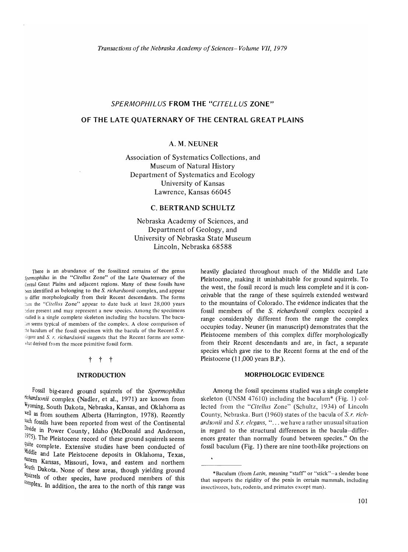# *SPERMOPHILUS* **FROM THE** *"c/TELLUS* **ZONE"**

# **OF THE LATE QUATERNARY OF THE CENTRAL GREAT PLAINS**

# A.M.NEUNER

Association of Systematics Collections, and Museum of Natural History Department of Systematics and Ecology University of Kansas Lawrence, Kansas 66045

#### C. **BERTRAND SCHULTZ**

Nebraska Academy of Sciences, and Department of Geology, and University of Nebraska State Museum Lincoln, Nebraska 68588

There is an abundance of the fossilized remains of the genus *Spermophilus* in the "Citellus Zone" of the Late Quaternary of the Central Great Plains and adjacent regions. Many of these fossils have t<en identified as belonging to the S. *richardsonii* complex, and appear to differ morphologically from their Recent descendants. The forms ::On1 the *"Citel/us* Zone" appear to date back at least 28,000 years before present and may represent a new species. Among the specimens 'iudied is a single complete skeleton including the baculum. The bacu- :Jm seems typical of members of the complex. A close comparison of  $\forall$  in the seculum of the fossil specimen with the bacula of the Recent S. *r*. *degans* and *S. r. richardsonii* suggests that the Recent forms are some-.hat derived from the more primitive fossil form.

# t t t

#### **INTRODUCTION**

Fossil big-eared ground squirrels of the *Spermophilus richardsonii* complex (Nadler, et aI., 1971) are known from Wyoming, South Dakota, Nebraska, Kansas, and Oklahoma as well as from southern Alberta (Harrington, 1978). Recently such fossils have been reported from west of the Continental Divide in Power County, Idaho (McDonald and Anderson, 1975). The Pleistocene record of these ground squirrels seems quite complete. Extensive studies have been conducted of Middle and Late Pleistocene deposits in Oklahoma, Texas, ~tem Kansas, Missouri, Iowa, and eastern and northern South Dakota. None of these areas, though yielding ground \(jUlTrels of other species, have produced members of this  $\text{Complex.}$  In addition, the area to the north of this range was heavily glaciated throughout much of the Middle and Late Pleistocene, making it uninhabitable for ground squirrels. To the west, the fossil record is much less complete and it is conceivable that the range of these squirrels extended westward to the mountains of Colorado. The evidence indicates that the fossil members of the S. *richardsonii* complex occupied a range considerably different from the range the complex occupies today. Neuner (in manuscript) demonstrates that the Pleistocene members of this complex differ morphologically from their Recent descendants and are, in fact, a separate species which gave rise to the Recent forms at the end of the Pleistocene (11,000 years B.P.).

#### **MORPHOLOGIC** EVIDENCE

Among the fossil specimens studied was a single complete skeleton (UNSM 47610) including the baculum\* (Fig. 1) collected from the *"Citcllus* Zone" (Schultz, 1934) of Lincoln County, Nebraska. Burt (1960) states of the bacula of S.r. richardsonii and *S.r. elegans*, "... we have a rather unusual situation in regard to the structural differences in the bacula-differences greater than normally found between species." On the fossil baculum (Fig. 1) there are nine tooth-like projections on

<sup>\*</sup>Baculum (from *Latin,* meaning "staff" or "stick"-a slender bone that supports the rigidity of the penis in certain mammals, including insectivores, bats, rodents, and primates except man).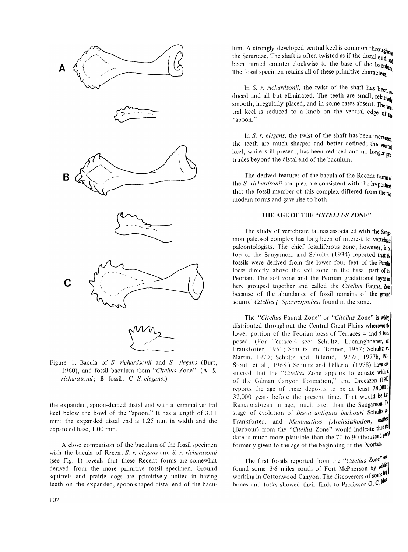

Figure 1. Bacula of S. *richardsonii* and S. *elegans* (Burt, 1960), and fossil baculum from *"Citellus* Zone". (A-S. *richardsonii;* B-fossil; C-S. *elegans.)* 

the expanded, spoon-shaped distal end with a terminal ventral keel below the bowl of the "spoon." It has a length of 3.11 mm; the expanded distal end is 1.25 mm in width and the expanded base, 1.00 mm.

A close comparison of the baculum of the fossil specimen with the bacula of Recent S. *r. elegans* and S. *r. richardsonii*  (see Fig. 1) reveals that these Recent forms are somewhat derived from the more primitive fossil specimen. Ground squirrels and prairie dogs are primitively united in having teeth on the expanded, spoon-shaped distal end of the baculum. A strongly developed ventral keel is common throughout the Sciuridae. The shaft is often twisted as if the distal end  $_{\text{had}}$ been turned counter clockwise to the base of the baculum The fossil specimen retains all of these primitive characters

In *S. r. richardsonii*, the twist of the shaft has been  $_{h}$ . duced and all but eliminated. The teeth are small, relatively smooth, irregularly placed, and in some cases absent. The  $_{\text{V}}$ tral keel is reduced to a knob on the ventral edge of  $\mathbf{h}$ "spoon."

In S. *r. elegans*, the twist of the shaft has been increased the teeth are much sharper and better defined; the vent keel, while still present, has been reduced and no longer pro. trudes beyond the distal end of the baculum.

The derived features of the bacula of the Recent formsof the S. *richardsonii* complex are consistent with the hypothes that the fossil member of this complex differed from the  $_{\text{two}}$ modem forms and gave rise to both.

# THE AGE OF THE *"CITELLUS* ZONE"

The study of vertebrate faunas associated with the Sann mon paleosol complex has long been of interest to vertebrate paleontologists. The chief fossiliferous zone, however, is  $\alpha$ top of the Sangamon, and Schultz (1934) reported that the fossils were derived from the lower four feet of the Peorin loess directly above the soil zone in the basal part of  $\mathfrak{h}$ Peorian. The soil zone and the Peorian gradational laver  $x$ here grouped together and called the *Citellus* Faunal Zox because of the abundance of fossil remains of the ground squirrel *Citellus (=Spermophilus)* found in the zone.

The *"Citellus* Faunal Zone" or *"Citellus* Zone" is wide!! distributed throughout the Central Great Plains wherever  $\mathbf{t}$ lower portion of the Peorian loess of Terraces 4 and 5 ise posed. (For Terrace-4 see: Schultz, Lueninghoener, an: Frankforter, 1951; Schultz and Tanner, 1957; Schultz an: Martin, 1970; Schultz and Hillerud, 1977a, 1977b, 1914 Stout, et al., 1965.) Schultz and Hillerud (1978) have  $\mathfrak{A}$ sidered that the "Citellus Zone appears to equate with a of the Gilman Canyon Formation," and Dreeszen (197 reports the age of these deposits to be at least  $28,000$ <sup>1</sup> 32,000 years before the present time. That would be  $\mathcal{U}^*$ Rancholabrean in age, much later than the Sangamon.  $\mathbb{I}^{\mathbb{I}}$ stage of evolution of *Bison antiquus barbouri* Schultz and Frankforter, and *Mammuthus (Archidiskodon) mabe* (Barbour) from the "Citellus Zone" would indicate that<sup>the</sup> date is much more plausible than the 70 to 90 thousand  $y^{\alpha}$ formerly given to the age of the beginning of the Peorian.

The first fossils reported from the "Citellus Zone" found some  $3\frac{1}{2}$  miles south of Fort McPherson by solution working in Cottonwood Canyon. The discoverers of some by bones and tusks showed their finds to Professor O.C.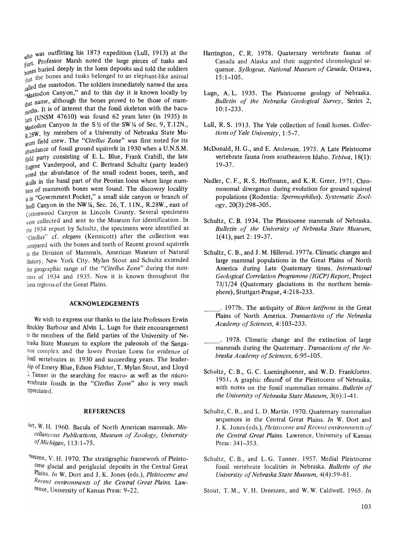who was outfitting his 1873 expedition (Lull, 1913) at the  $F_{\text{port}}$ . Professor Marsh noted the large pieces of tusks and for:<br>anes buried deeply in the loess deposits and told the soldiers bones and tusks belonged to an elephant-like animal ed the mastodon. The soldiers immediately named the area "Mastodon Canyon," and to this day it is known locally by that name, although the bones proved to be those of mam $t_{\text{m} \text{m}}$  It is of interest that the fossil skeleton with the bacu- $\lim_{\text{min}}$  (UNSM 47610) was found 62 years later (in 1935) in  $M$ astodon Canyon in the S <sup>12</sup> of the SW <sup>12</sup> of Sec. 9, T.12N.,  $R.28W$ . by members of a University of Nebraska State Muum field crew. The *"Citellus* Zone" was first noted for its abundance of fossil ground squirrels in 1930 when a U.N.S.M. field party consisting of E. L. Blue, Frank Crabill, the late Eugene Vanderpool, and C. Bertrand Schultz (party leader) noted the abundance of the small rodent bones, teeth, and skulls in the basal part of the Peorian loess where large numhers of mammoth bones were found. The discovery locality is in "Government Pocket," a small side canyon or branch of Snell Canyon in the NW1/4, Sec. 26, T. 11N., R.28W., east of cottonwood Canyon in lincoln County. Several specimens were collected and sent to the Museum for identification. In the 1934 report by Schultz, the specimens were identified as *"eitellus"* cf. *elegans* (Kennicott) after the collection was compared with the bones and teeth of Recent ground squirrels in the Division of Mammals, American Museum of Natural History, New York City. Mylan Stout and Schultz extended the geographic range of the *"Citellus* Zone" during the summers of 1934 and 1935. Now it is known throughout the loess regions of the Great Plains.

#### ACKNOWLEDGEMENTS

We wish to express our thanks to the late Professors Erwin Hinckley Barbour and Alvin L. Lugn for their encouragement to the members of the field parties of the University of Nebraska State Museum to explore the paleosols of the Sangamon complex and the lower Peorian Loess for evidence of fossil vertebrates in 1930 and succeeding years. The leader thip of Emery Blue, Edson Fichter, T. Mylan Stout, and Lloyd ~. Tanner in the searching for macro- as well as the microlertebrate fossils in the *"Citellus* Zone" also is very much lppreciated.

#### **REFERENCES**

- lurt, W. H. 1960. Bacula of North American mammals. Mis*cellaneous Publications, Museum of Zoology, University a/Michigan,* 113:1-75.
- Teeszen, V. H. 1970. The stratigraphic framework of Pleistocene glacial and periglacial deposits in the Central Great Plains. *In* W. Dort and J. K. Jones (eds.), *Pleistocene and Recent environments of the Central Great Plains.* Lawrence, University of Kansas Press: 9-22.
- Harrington, C. R. 1978. Quaternary vertebrate faunas of Canada and Alaska and their suggested chronological sequence. *Syllogeus, National Museum of Canada,* Ottawa, 15:1-105.
- Lugn, A. L. 1935. The Pleistocene geology of Nebraska. *Bulletin of the Nebraska Geological Survey,* Series 2, 10:1-233.
- Lull, R. S. 1913. The Yale collection of fossil horses. *Collections of Yale University,* 1 :5-7.
- McDonald, H. G., and E. Anderson. 1975. A Late Pleistocene vertebrate fauna from southeastern Idaho. *Tebiwa, 18(1):*  19-37.
- Nadler, C. F., R. S. Hoffmann, and K. R. Greer. 1971. Chromosomal divergence during evolution for ground squirrel populations (Rodentia: *Spermophilus). Systematic Zoology,20(3):298-305.*
- Schultz, C. B. 1934. The Pleistocene mammals of Nebraska. *Bulletin of the University of Nebraska State Museum,*  1(41), part 2: 19-37.
- Schultz, C. B., and J. M. Hillerud. 1977a. Climatic changes and large mammal populations in the Great Plains of North America during Late Quaternary times. *International Geological Correlation Programme (IGCP) Report,* Project  $73/1/24$  (Quaternary glaciations in the northern hemisphere), Stuttgart-Prague, 4:218-233.
- \_\_ . 1977b. The antiquity of *Bison latifrons* in the Great Plains of North America. *Transactions of the Nebraska Academy of Sciences,* 4: 103-233.
- \_\_ . 1978. Climatic change and the extinction of large mammals during the Quaternary. *Transactions of the Nebraska Academy of Sciences, 6:95-105.*
- Schultz, C. B., G. C. Lueninghoener, and W. D. Frankforter. 1951. A graphic résumé of the Pleistocene of Nebraska, with notes on the fossil mammalian remains. *Bulletin of the University of Nebraska State Museum, 3(6):1-41.*
- Schultz, C. B., and L. D. Martin. 1970. Quaternary mammalian sequences in the Central Great Plains. *In* W. Dort and J. K. Jones (eds.), *Pleistocene and Recent environments of the Central Great Plains.* Lawrence, University of Kansas Press: 341-353.
- Schultz, C. B., and L. G. Tanner. 1957. Medial Pleistocene fossil vertebrate localities in Nebraska. *Bulletin of the University of Nebraska State Museum, 4(4):59-81.*
- Stout, T. M., V. H. Dreeszen, and W. W. Caldwell. 1965. *In*